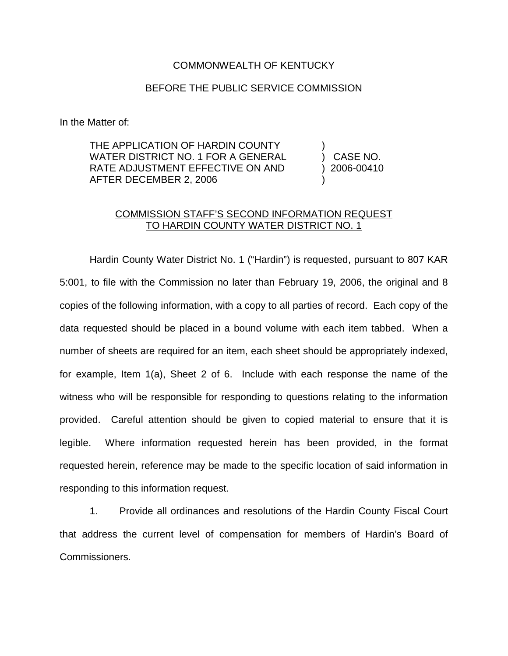## COMMONWEALTH OF KENTUCKY

## BEFORE THE PUBLIC SERVICE COMMISSION

In the Matter of:

THE APPLICATION OF HARDIN COUNTY WATER DISTRICT NO. 1 FOR A GENERAL RATE ADJUSTMENT EFFECTIVE ON AND AFTER DECEMBER 2, 2006

) CASE NO. ) 2006-00410 )

)

## COMMISSION STAFF'S SECOND INFORMATION REQUEST TO HARDIN COUNTY WATER DISTRICT NO. 1

Hardin County Water District No. 1 ("Hardin") is requested, pursuant to 807 KAR 5:001, to file with the Commission no later than February 19, 2006, the original and 8 copies of the following information, with a copy to all parties of record. Each copy of the data requested should be placed in a bound volume with each item tabbed. When a number of sheets are required for an item, each sheet should be appropriately indexed, for example, Item 1(a), Sheet 2 of 6. Include with each response the name of the witness who will be responsible for responding to questions relating to the information provided. Careful attention should be given to copied material to ensure that it is legible. Where information requested herein has been provided, in the format requested herein, reference may be made to the specific location of said information in responding to this information request.

1. Provide all ordinances and resolutions of the Hardin County Fiscal Court that address the current level of compensation for members of Hardin's Board of Commissioners.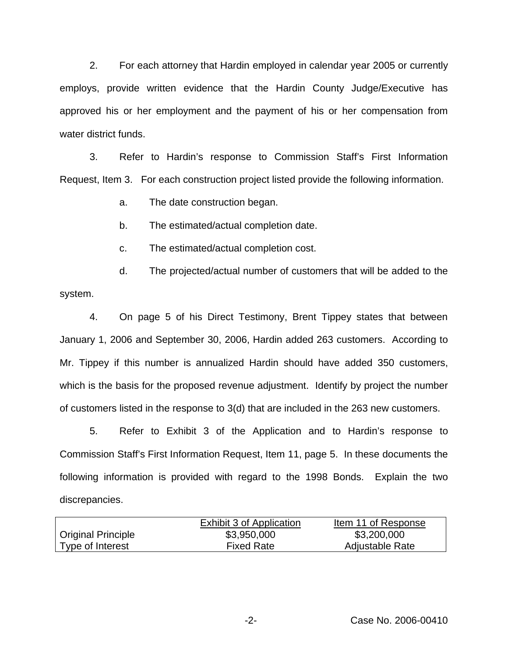2. For each attorney that Hardin employed in calendar year 2005 or currently employs, provide written evidence that the Hardin County Judge/Executive has approved his or her employment and the payment of his or her compensation from water district funds.

3. Refer to Hardin's response to Commission Staff's First Information Request, Item 3. For each construction project listed provide the following information.

a. The date construction began.

b. The estimated/actual completion date.

c. The estimated/actual completion cost.

d. The projected/actual number of customers that will be added to the system.

4. On page 5 of his Direct Testimony, Brent Tippey states that between January 1, 2006 and September 30, 2006, Hardin added 263 customers. According to Mr. Tippey if this number is annualized Hardin should have added 350 customers, which is the basis for the proposed revenue adjustment. Identify by project the number of customers listed in the response to 3(d) that are included in the 263 new customers.

5. Refer to Exhibit 3 of the Application and to Hardin's response to Commission Staff's First Information Request, Item 11, page 5. In these documents the following information is provided with regard to the 1998 Bonds. Explain the two discrepancies.

|                           | Exhibit 3 of Application | Item 11 of Response |
|---------------------------|--------------------------|---------------------|
| <b>Original Principle</b> | \$3,950,000              | \$3,200,000         |
| Type of Interest          | <b>Fixed Rate</b>        | Adjustable Rate     |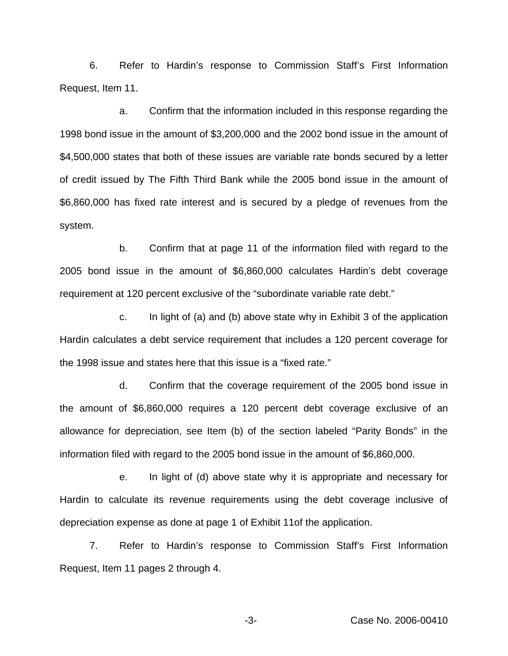6. Refer to Hardin's response to Commission Staff's First Information Request, Item 11.

a. Confirm that the information included in this response regarding the 1998 bond issue in the amount of \$3,200,000 and the 2002 bond issue in the amount of \$4,500,000 states that both of these issues are variable rate bonds secured by a letter of credit issued by The Fifth Third Bank while the 2005 bond issue in the amount of \$6,860,000 has fixed rate interest and is secured by a pledge of revenues from the system.

b. Confirm that at page 11 of the information filed with regard to the 2005 bond issue in the amount of \$6,860,000 calculates Hardin's debt coverage requirement at 120 percent exclusive of the "subordinate variable rate debt."

c. In light of (a) and (b) above state why in Exhibit 3 of the application Hardin calculates a debt service requirement that includes a 120 percent coverage for the 1998 issue and states here that this issue is a "fixed rate."

d. Confirm that the coverage requirement of the 2005 bond issue in the amount of \$6,860,000 requires a 120 percent debt coverage exclusive of an allowance for depreciation, see Item (b) of the section labeled "Parity Bonds" in the information filed with regard to the 2005 bond issue in the amount of \$6,860,000.

e. In light of (d) above state why it is appropriate and necessary for Hardin to calculate its revenue requirements using the debt coverage inclusive of depreciation expense as done at page 1 of Exhibit 11of the application.

7. Refer to Hardin's response to Commission Staff's First Information Request, Item 11 pages 2 through 4.

-3- Case No. 2006-00410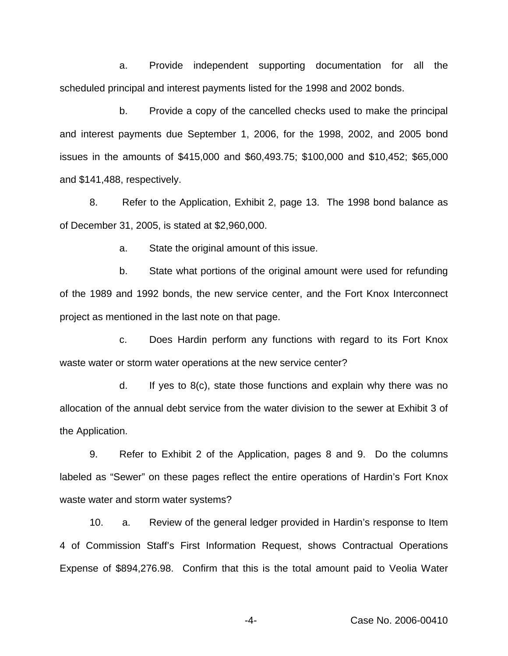a. Provide independent supporting documentation for all the scheduled principal and interest payments listed for the 1998 and 2002 bonds.

b. Provide a copy of the cancelled checks used to make the principal and interest payments due September 1, 2006, for the 1998, 2002, and 2005 bond issues in the amounts of \$415,000 and \$60,493.75; \$100,000 and \$10,452; \$65,000 and \$141,488, respectively.

8. Refer to the Application, Exhibit 2, page 13. The 1998 bond balance as of December 31, 2005, is stated at \$2,960,000.

a. State the original amount of this issue.

b. State what portions of the original amount were used for refunding of the 1989 and 1992 bonds, the new service center, and the Fort Knox Interconnect project as mentioned in the last note on that page.

c. Does Hardin perform any functions with regard to its Fort Knox waste water or storm water operations at the new service center?

d. If yes to 8(c), state those functions and explain why there was no allocation of the annual debt service from the water division to the sewer at Exhibit 3 of the Application.

9. Refer to Exhibit 2 of the Application, pages 8 and 9. Do the columns labeled as "Sewer" on these pages reflect the entire operations of Hardin's Fort Knox waste water and storm water systems?

10. a. Review of the general ledger provided in Hardin's response to Item 4 of Commission Staff's First Information Request, shows Contractual Operations Expense of \$894,276.98. Confirm that this is the total amount paid to Veolia Water

-4- Case No. 2006-00410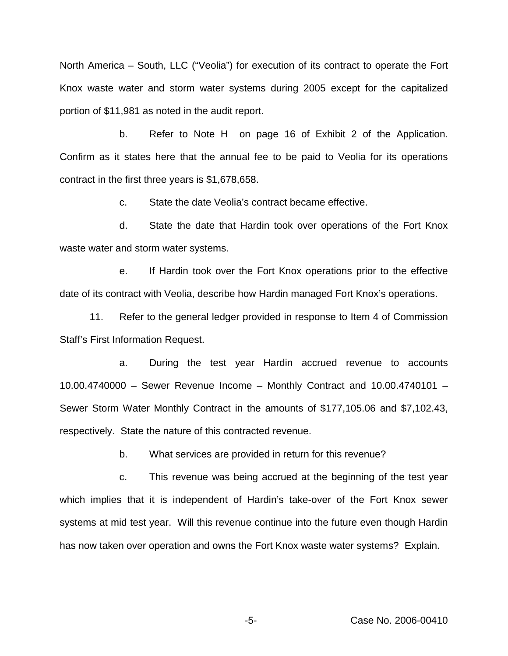North America – South, LLC ("Veolia") for execution of its contract to operate the Fort Knox waste water and storm water systems during 2005 except for the capitalized portion of \$11,981 as noted in the audit report.

b. Refer to Note H on page 16 of Exhibit 2 of the Application. Confirm as it states here that the annual fee to be paid to Veolia for its operations contract in the first three years is \$1,678,658.

c. State the date Veolia's contract became effective.

d. State the date that Hardin took over operations of the Fort Knox waste water and storm water systems.

e. If Hardin took over the Fort Knox operations prior to the effective date of its contract with Veolia, describe how Hardin managed Fort Knox's operations.

11. Refer to the general ledger provided in response to Item 4 of Commission Staff's First Information Request.

a. During the test year Hardin accrued revenue to accounts 10.00.4740000 – Sewer Revenue Income – Monthly Contract and 10.00.4740101 – Sewer Storm Water Monthly Contract in the amounts of \$177,105.06 and \$7,102.43, respectively. State the nature of this contracted revenue.

b. What services are provided in return for this revenue?

c. This revenue was being accrued at the beginning of the test year which implies that it is independent of Hardin's take-over of the Fort Knox sewer systems at mid test year. Will this revenue continue into the future even though Hardin has now taken over operation and owns the Fort Knox waste water systems? Explain.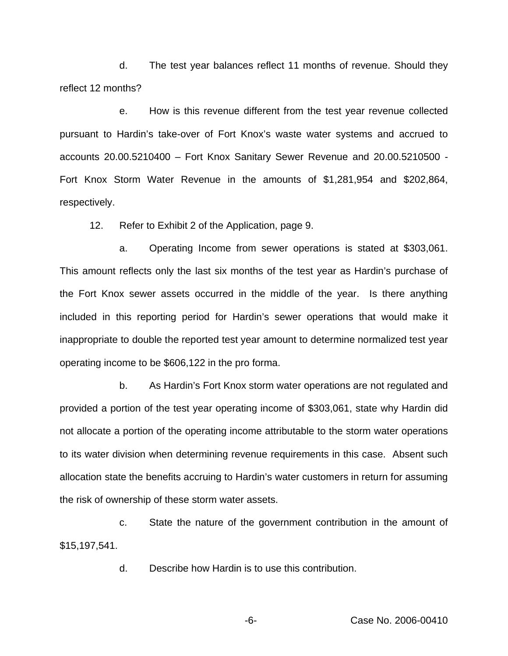d. The test year balances reflect 11 months of revenue. Should they reflect 12 months?

e. How is this revenue different from the test year revenue collected pursuant to Hardin's take-over of Fort Knox's waste water systems and accrued to accounts 20.00.5210400 – Fort Knox Sanitary Sewer Revenue and 20.00.5210500 - Fort Knox Storm Water Revenue in the amounts of \$1,281,954 and \$202,864, respectively.

12. Refer to Exhibit 2 of the Application, page 9.

a. Operating Income from sewer operations is stated at \$303,061. This amount reflects only the last six months of the test year as Hardin's purchase of the Fort Knox sewer assets occurred in the middle of the year. Is there anything included in this reporting period for Hardin's sewer operations that would make it inappropriate to double the reported test year amount to determine normalized test year operating income to be \$606,122 in the pro forma.

b. As Hardin's Fort Knox storm water operations are not regulated and provided a portion of the test year operating income of \$303,061, state why Hardin did not allocate a portion of the operating income attributable to the storm water operations to its water division when determining revenue requirements in this case. Absent such allocation state the benefits accruing to Hardin's water customers in return for assuming the risk of ownership of these storm water assets.

c. State the nature of the government contribution in the amount of \$15,197,541.

d. Describe how Hardin is to use this contribution.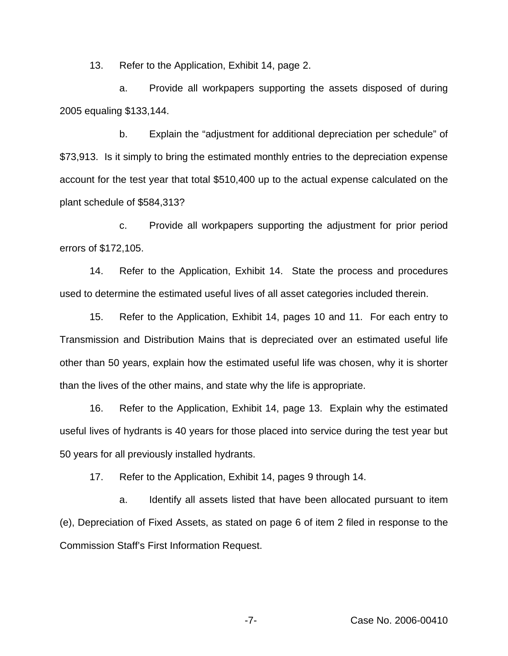13. Refer to the Application, Exhibit 14, page 2.

a. Provide all workpapers supporting the assets disposed of during 2005 equaling \$133,144.

b. Explain the "adjustment for additional depreciation per schedule" of \$73,913. Is it simply to bring the estimated monthly entries to the depreciation expense account for the test year that total \$510,400 up to the actual expense calculated on the plant schedule of \$584,313?

c. Provide all workpapers supporting the adjustment for prior period errors of \$172,105.

14. Refer to the Application, Exhibit 14. State the process and procedures used to determine the estimated useful lives of all asset categories included therein.

15. Refer to the Application, Exhibit 14, pages 10 and 11. For each entry to Transmission and Distribution Mains that is depreciated over an estimated useful life other than 50 years, explain how the estimated useful life was chosen, why it is shorter than the lives of the other mains, and state why the life is appropriate.

16. Refer to the Application, Exhibit 14, page 13. Explain why the estimated useful lives of hydrants is 40 years for those placed into service during the test year but 50 years for all previously installed hydrants.

17. Refer to the Application, Exhibit 14, pages 9 through 14.

a. Identify all assets listed that have been allocated pursuant to item (e), Depreciation of Fixed Assets, as stated on page 6 of item 2 filed in response to the Commission Staff's First Information Request.

-7- Case No. 2006-00410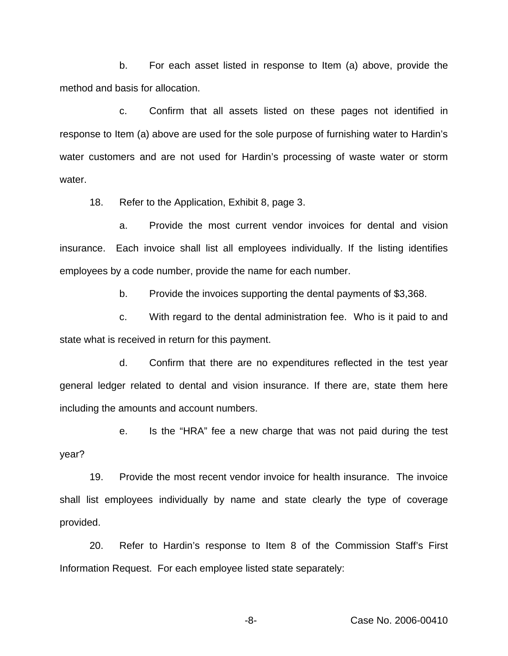b. For each asset listed in response to Item (a) above, provide the method and basis for allocation.

c. Confirm that all assets listed on these pages not identified in response to Item (a) above are used for the sole purpose of furnishing water to Hardin's water customers and are not used for Hardin's processing of waste water or storm water.

18. Refer to the Application, Exhibit 8, page 3.

a. Provide the most current vendor invoices for dental and vision insurance. Each invoice shall list all employees individually. If the listing identifies employees by a code number, provide the name for each number.

b. Provide the invoices supporting the dental payments of \$3,368.

c. With regard to the dental administration fee. Who is it paid to and state what is received in return for this payment.

d. Confirm that there are no expenditures reflected in the test year general ledger related to dental and vision insurance. If there are, state them here including the amounts and account numbers.

e. Is the "HRA" fee a new charge that was not paid during the test year?

19. Provide the most recent vendor invoice for health insurance. The invoice shall list employees individually by name and state clearly the type of coverage provided.

20. Refer to Hardin's response to Item 8 of the Commission Staff's First Information Request. For each employee listed state separately: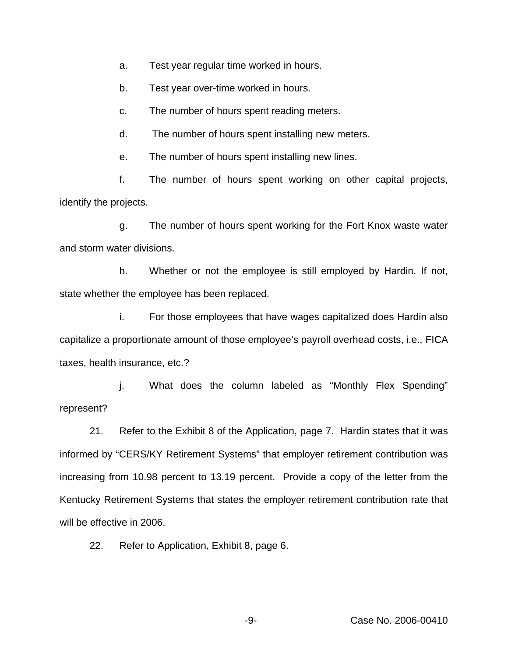a. Test year regular time worked in hours.

b. Test year over-time worked in hours.

c. The number of hours spent reading meters.

d. The number of hours spent installing new meters.

e. The number of hours spent installing new lines.

f. The number of hours spent working on other capital projects, identify the projects.

g. The number of hours spent working for the Fort Knox waste water and storm water divisions.

h. Whether or not the employee is still employed by Hardin. If not, state whether the employee has been replaced.

i. For those employees that have wages capitalized does Hardin also capitalize a proportionate amount of those employee's payroll overhead costs, i.e., FICA taxes, health insurance, etc.?

j. What does the column labeled as "Monthly Flex Spending" represent?

21. Refer to the Exhibit 8 of the Application, page 7. Hardin states that it was informed by "CERS/KY Retirement Systems" that employer retirement contribution was increasing from 10.98 percent to 13.19 percent. Provide a copy of the letter from the Kentucky Retirement Systems that states the employer retirement contribution rate that will be effective in 2006.

22. Refer to Application, Exhibit 8, page 6.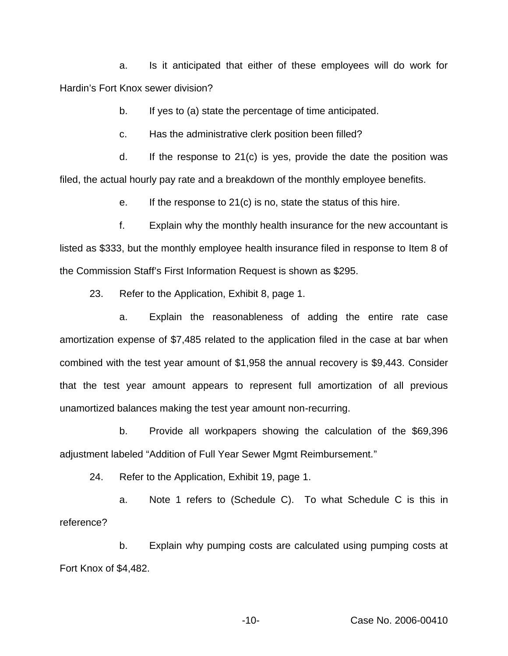a. Is it anticipated that either of these employees will do work for Hardin's Fort Knox sewer division?

b. If yes to (a) state the percentage of time anticipated.

c. Has the administrative clerk position been filled?

d. If the response to 21(c) is yes, provide the date the position was filed, the actual hourly pay rate and a breakdown of the monthly employee benefits.

e. If the response to 21(c) is no, state the status of this hire.

f. Explain why the monthly health insurance for the new accountant is listed as \$333, but the monthly employee health insurance filed in response to Item 8 of the Commission Staff's First Information Request is shown as \$295.

23. Refer to the Application, Exhibit 8, page 1.

a. Explain the reasonableness of adding the entire rate case amortization expense of \$7,485 related to the application filed in the case at bar when combined with the test year amount of \$1,958 the annual recovery is \$9,443. Consider that the test year amount appears to represent full amortization of all previous unamortized balances making the test year amount non-recurring.

b. Provide all workpapers showing the calculation of the \$69,396 adjustment labeled "Addition of Full Year Sewer Mgmt Reimbursement."

24. Refer to the Application, Exhibit 19, page 1.

a. Note 1 refers to (Schedule C). To what Schedule C is this in reference?

b. Explain why pumping costs are calculated using pumping costs at Fort Knox of \$4,482.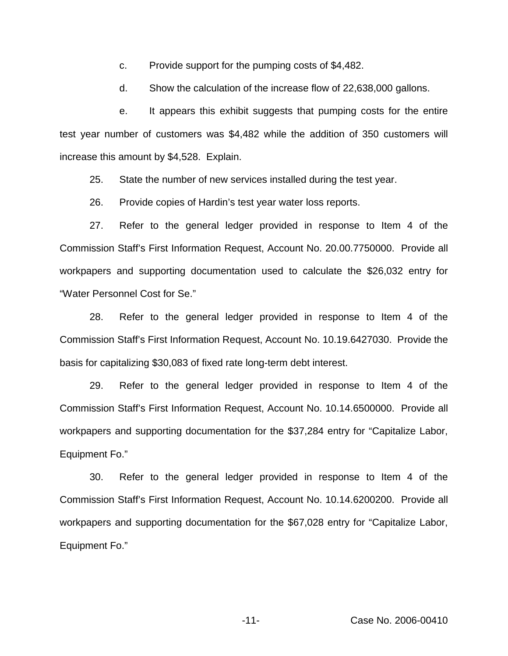c. Provide support for the pumping costs of \$4,482.

d. Show the calculation of the increase flow of 22,638,000 gallons.

e. It appears this exhibit suggests that pumping costs for the entire test year number of customers was \$4,482 while the addition of 350 customers will increase this amount by \$4,528. Explain.

25. State the number of new services installed during the test year.

26. Provide copies of Hardin's test year water loss reports.

27. Refer to the general ledger provided in response to Item 4 of the Commission Staff's First Information Request, Account No. 20.00.7750000. Provide all workpapers and supporting documentation used to calculate the \$26,032 entry for "Water Personnel Cost for Se."

28. Refer to the general ledger provided in response to Item 4 of the Commission Staff's First Information Request, Account No. 10.19.6427030. Provide the basis for capitalizing \$30,083 of fixed rate long-term debt interest.

29. Refer to the general ledger provided in response to Item 4 of the Commission Staff's First Information Request, Account No. 10.14.6500000. Provide all workpapers and supporting documentation for the \$37,284 entry for "Capitalize Labor, Equipment Fo."

30. Refer to the general ledger provided in response to Item 4 of the Commission Staff's First Information Request, Account No. 10.14.6200200. Provide all workpapers and supporting documentation for the \$67,028 entry for "Capitalize Labor, Equipment Fo."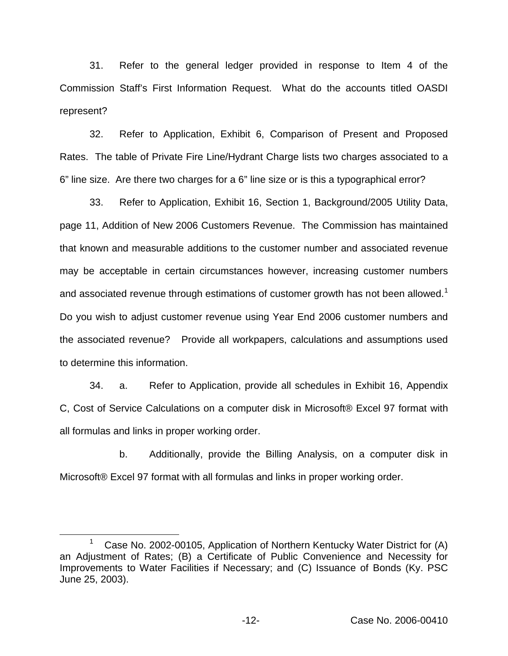31. Refer to the general ledger provided in response to Item 4 of the Commission Staff's First Information Request. What do the accounts titled OASDI represent?

32. Refer to Application, Exhibit 6, Comparison of Present and Proposed Rates. The table of Private Fire Line/Hydrant Charge lists two charges associated to a 6" line size. Are there two charges for a 6" line size or is this a typographical error?

33. Refer to Application, Exhibit 16, Section 1, Background/2005 Utility Data, page 11, Addition of New 2006 Customers Revenue. The Commission has maintained that known and measurable additions to the customer number and associated revenue may be acceptable in certain circumstances however, increasing customer numbers and associated revenue through estimations of customer growth has not been allowed.<sup>1</sup> Do you wish to adjust customer revenue using Year End 2006 customer numbers and the associated revenue? Provide all workpapers, calculations and assumptions used to determine this information.

34. a. Refer to Application, provide all schedules in Exhibit 16, Appendix C, Cost of Service Calculations on a computer disk in Microsoft® Excel 97 format with all formulas and links in proper working order.

b. Additionally, provide the Billing Analysis, on a computer disk in Microsoft® Excel 97 format with all formulas and links in proper working order.

Case No. 2002-00105, Application of Northern Kentucky Water District for (A) an Adjustment of Rates; (B) a Certificate of Public Convenience and Necessity for Improvements to Water Facilities if Necessary; and (C) Issuance of Bonds (Ky. PSC June 25, 2003).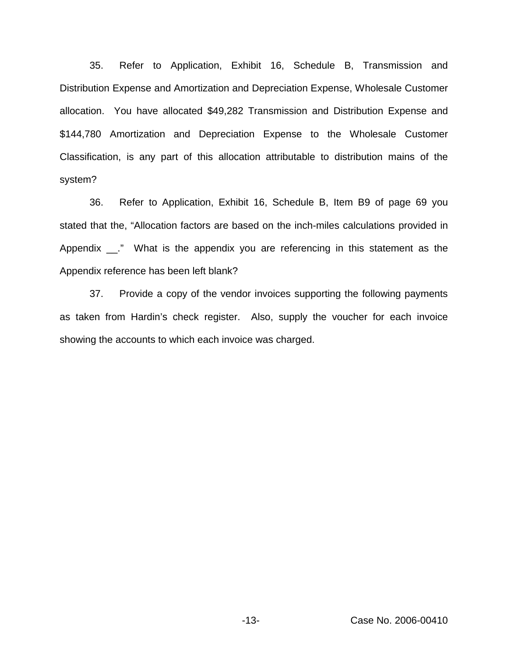35. Refer to Application, Exhibit 16, Schedule B, Transmission and Distribution Expense and Amortization and Depreciation Expense, Wholesale Customer allocation. You have allocated \$49,282 Transmission and Distribution Expense and \$144,780 Amortization and Depreciation Expense to the Wholesale Customer Classification, is any part of this allocation attributable to distribution mains of the system?

36. Refer to Application, Exhibit 16, Schedule B, Item B9 of page 69 you stated that the, "Allocation factors are based on the inch-miles calculations provided in Appendix \_\_." What is the appendix you are referencing in this statement as the Appendix reference has been left blank?

37. Provide a copy of the vendor invoices supporting the following payments as taken from Hardin's check register. Also, supply the voucher for each invoice showing the accounts to which each invoice was charged.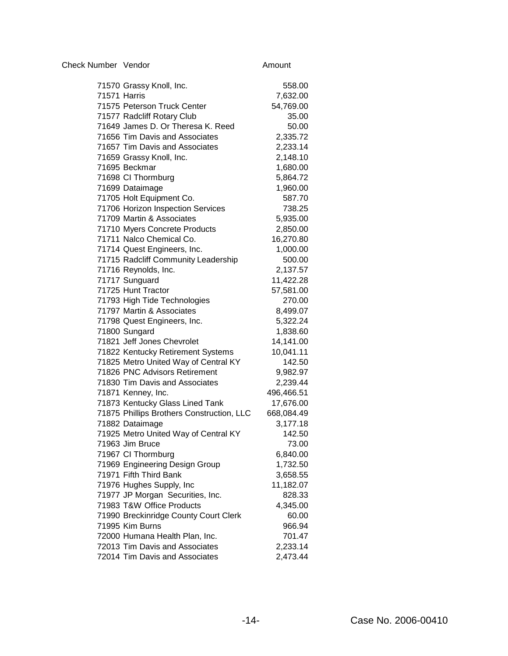| Check Number Vendor | Amount |
|---------------------|--------|
|                     |        |

| 71570 Grassy Knoll, Inc.                  | 558.00     |
|-------------------------------------------|------------|
| 71571 Harris                              | 7,632.00   |
| 71575 Peterson Truck Center               | 54,769.00  |
| 71577 Radcliff Rotary Club                | 35.00      |
| 71649 James D. Or Theresa K. Reed         | 50.00      |
| 71656 Tim Davis and Associates            | 2,335.72   |
| 71657 Tim Davis and Associates            | 2,233.14   |
| 71659 Grassy Knoll, Inc.                  | 2,148.10   |
| 71695 Beckmar                             | 1,680.00   |
| 71698 CI Thormburg                        | 5,864.72   |
| 71699 Dataimage                           | 1,960.00   |
| 71705 Holt Equipment Co.                  | 587.70     |
| 71706 Horizon Inspection Services         | 738.25     |
| 71709 Martin & Associates                 | 5,935.00   |
| 71710 Myers Concrete Products             | 2,850.00   |
| 71711 Nalco Chemical Co.                  | 16,270.80  |
| 71714 Quest Engineers, Inc.               | 1,000.00   |
| 71715 Radcliff Community Leadership       | 500.00     |
| 71716 Reynolds, Inc.                      | 2,137.57   |
| 71717 Sunguard                            | 11,422.28  |
| 71725 Hunt Tractor                        | 57,581.00  |
| 71793 High Tide Technologies              | 270.00     |
| 71797 Martin & Associates                 | 8,499.07   |
| 71798 Quest Engineers, Inc.               | 5,322.24   |
| 71800 Sungard                             | 1,838.60   |
| 71821 Jeff Jones Chevrolet                | 14,141.00  |
| 71822 Kentucky Retirement Systems         | 10,041.11  |
| 71825 Metro United Way of Central KY      | 142.50     |
| 71826 PNC Advisors Retirement             | 9,982.97   |
| 71830 Tim Davis and Associates            | 2,239.44   |
| 71871 Kenney, Inc.                        | 496,466.51 |
| 71873 Kentucky Glass Lined Tank           | 17,676.00  |
| 71875 Phillips Brothers Construction, LLC | 668,084.49 |
| 71882 Dataimage                           | 3,177.18   |
| 71925 Metro United Way of Central KY      | 142.50     |
| 71963 Jim Bruce                           | 73.00      |
| 71967 CI Thormburg                        | 6,840.00   |
| 71969 Engineering Design Group            | 1,732.50   |
| 71971 Fifth Third Bank                    | 3,658.55   |
| 71976 Hughes Supply, Inc                  | 11,182.07  |
| 71977 JP Morgan Securities, Inc.          | 828.33     |
| 71983 T&W Office Products                 | 4,345.00   |
| 71990 Breckinridge County Court Clerk     | 60.00      |
| 71995 Kim Burns                           | 966.94     |
| 72000 Humana Health Plan, Inc.            | 701.47     |
| 72013 Tim Davis and Associates            | 2,233.14   |
| 72014 Tim Davis and Associates            | 2,473.44   |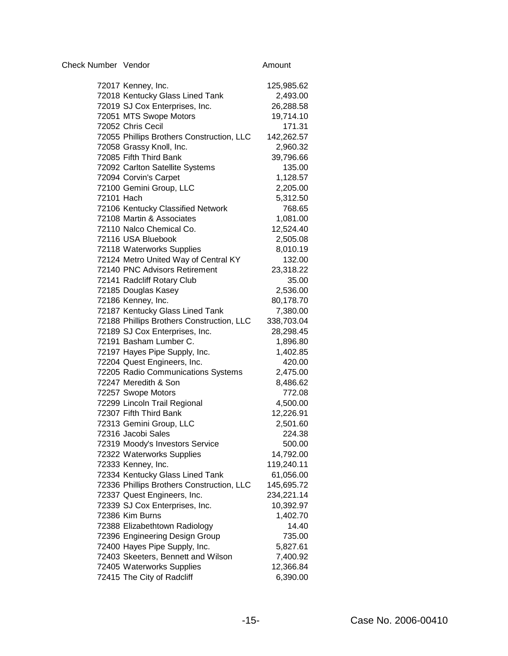| Check Number Vendor | Amount |
|---------------------|--------|
|                     |        |

| 72017 Kenney, Inc.                        | 125,985.62 |
|-------------------------------------------|------------|
| 72018 Kentucky Glass Lined Tank           | 2,493.00   |
| 72019 SJ Cox Enterprises, Inc.            | 26,288.58  |
| 72051 MTS Swope Motors                    | 19,714.10  |
| 72052 Chris Cecil                         | 171.31     |
| 72055 Phillips Brothers Construction, LLC | 142,262.57 |
| 72058 Grassy Knoll, Inc.                  | 2,960.32   |
| 72085 Fifth Third Bank                    | 39,796.66  |
| 72092 Carlton Satellite Systems           | 135.00     |
| 72094 Corvin's Carpet                     | 1,128.57   |
| 72100 Gemini Group, LLC                   | 2,205.00   |
| 72101 Hach                                | 5,312.50   |
| 72106 Kentucky Classified Network         | 768.65     |
| 72108 Martin & Associates                 | 1,081.00   |
| 72110 Nalco Chemical Co.                  | 12,524.40  |
| 72116 USA Bluebook                        | 2,505.08   |
| 72118 Waterworks Supplies                 | 8,010.19   |
| 72124 Metro United Way of Central KY      | 132.00     |
| 72140 PNC Advisors Retirement             | 23,318.22  |
| 72141 Radcliff Rotary Club                | 35.00      |
| 72185 Douglas Kasey                       | 2,536.00   |
| 72186 Kenney, Inc.                        | 80,178.70  |
| 72187 Kentucky Glass Lined Tank           | 7,380.00   |
| 72188 Phillips Brothers Construction, LLC | 338,703.04 |
| 72189 SJ Cox Enterprises, Inc.            | 28,298.45  |
| 72191 Basham Lumber C.                    | 1,896.80   |
| 72197 Hayes Pipe Supply, Inc.             | 1,402.85   |
| 72204 Quest Engineers, Inc.               | 420.00     |
| 72205 Radio Communications Systems        | 2,475.00   |
| 72247 Meredith & Son                      | 8,486.62   |
| 72257 Swope Motors                        | 772.08     |
| 72299 Lincoln Trail Regional              | 4,500.00   |
| 72307 Fifth Third Bank                    | 12,226.91  |
| 72313 Gemini Group, LLC                   | 2,501.60   |
| 72316 Jacobi Sales                        | 224.38     |
| 72319 Moody's Investors Service           | 500.00     |
| 72322 Waterworks Supplies                 | 14,792.00  |
| 72333 Kenney, Inc.                        | 119,240.11 |
| 72334 Kentucky Glass Lined Tank           | 61,056.00  |
| 72336 Phillips Brothers Construction, LLC | 145,695.72 |
| 72337 Quest Engineers, Inc.               | 234,221.14 |
| 72339 SJ Cox Enterprises, Inc.            | 10,392.97  |
| 72386 Kim Burns                           | 1,402.70   |
| 72388 Elizabethtown Radiology             | 14.40      |
| 72396 Engineering Design Group            | 735.00     |
| 72400 Hayes Pipe Supply, Inc.             | 5,827.61   |
| 72403 Skeeters, Bennett and Wilson        | 7,400.92   |
| 72405 Waterworks Supplies                 | 12,366.84  |
| 72415 The City of Radcliff                | 6,390.00   |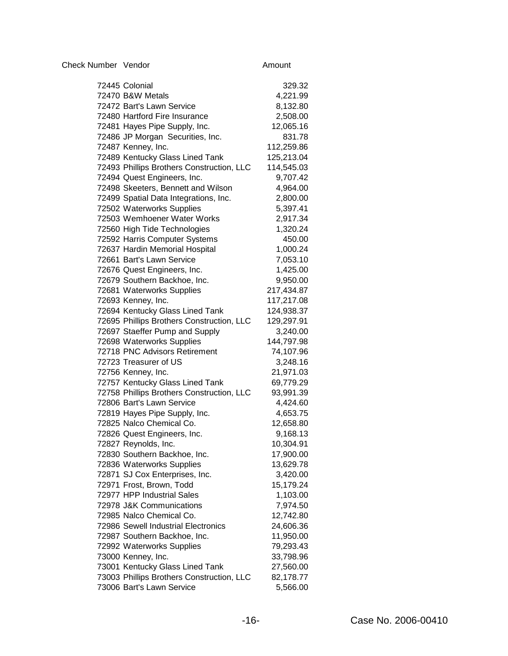72445 Colonial 329.32 72470 B&W Metals 4,221.99 72472 Bart's Lawn Service 8,132.80 72480 Hartford Fire Insurance 2,508.00 72481 Hayes Pipe Supply, Inc. 12,065.16 72486 JP Morgan Securities, Inc. 631.78 72487 Kenney, Inc. 112,259.86 72489 Kentucky Glass Lined Tank 125,213.04 72493 Phillips Brothers Construction, LLC 114,545.03 72494 Quest Engineers, Inc. 9,707.42 72498 Skeeters, Bennett and Wilson 4,964.00 72499 Spatial Data Integrations, Inc. 2,800.00 72502 Waterworks Supplies 5,397.41 72503 Wemhoener Water Works 2,917.34 72560 High Tide Technologies 1,320.24 72592 Harris Computer Systems 450.00 72637 Hardin Memorial Hospital 1,000.24 72661 Bart's Lawn Service 7,053.10 72676 Quest Engineers, Inc. 1,425.00 72679 Southern Backhoe, Inc. 9,950.00 72681 Waterworks Supplies 217,434.87 72693 Kenney, Inc. 117,217.08 72694 Kentucky Glass Lined Tank 124,938.37 72695 Phillips Brothers Construction, LLC 129,297.91 72697 Staeffer Pump and Supply 3,240.00 72698 Waterworks Supplies 144,797.98 72718 PNC Advisors Retirement 74,107.96 72723 Treasurer of US 3,248.16 72756 Kenney, Inc. 21,971.03 72757 Kentucky Glass Lined Tank 69,779.29 72758 Phillips Brothers Construction, LLC 93,991.39 72806 Bart's Lawn Service 4,424.60 72819 Haves Pipe Supply, Inc. 4,653.75 72825 Nalco Chemical Co. 12,658.80 72826 Quest Engineers, Inc. 9,168.13 72827 Reynolds, Inc. 10,304.91 72830 Southern Backhoe, Inc. 17,900.00 72836 Waterworks Supplies 13,629.78 72871 SJ Cox Enterprises, Inc. 3,420.00 72971 Frost, Brown, Todd 15,179.24 72977 HPP Industrial Sales 1,103.00 72978 J&K Communications 7,974.50 72985 Nalco Chemical Co. 12,742.80 72986 Sewell Industrial Electronics 24,606.36 72987 Southern Backhoe, Inc. 11,950.00 72992 Waterworks Supplies 79,293.43 73000 Kenney, Inc. 33,798.96 73001 Kentucky Glass Lined Tank 27,560.00

Check Number Vendor **Amount** Amount

73003 Phillips Brothers Construction, LLC 82,178.77 73006 Bart's Lawn Service 5,566.00